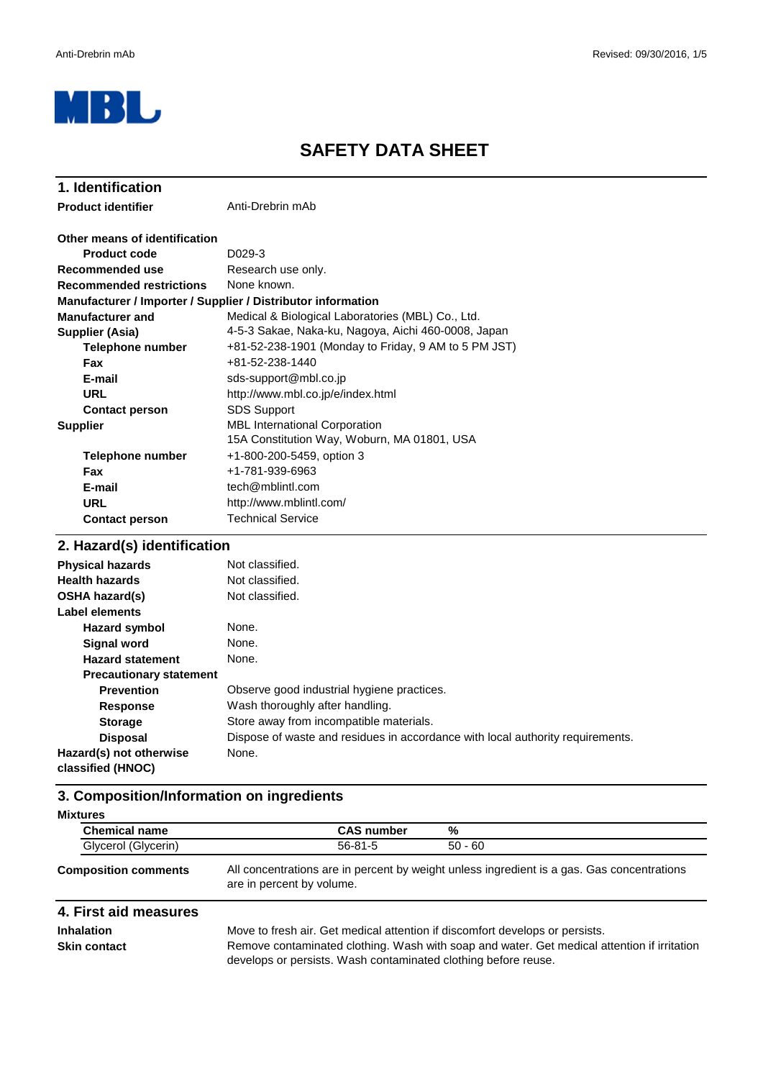

# **SAFETY DATA SHEET**

| 1. Identification                                            |                                                                              |
|--------------------------------------------------------------|------------------------------------------------------------------------------|
| <b>Product identifier</b>                                    | Anti-Drebrin mAb                                                             |
| Other means of identification                                |                                                                              |
| Product code                                                 | D <sub>0</sub> 29-3                                                          |
| Recommended use                                              | Research use only.                                                           |
| <b>Recommended restrictions</b>                              | None known.                                                                  |
| Manufacturer / Importer / Supplier / Distributor information |                                                                              |
| <b>Manufacturer and</b>                                      | Medical & Biological Laboratories (MBL) Co., Ltd.                            |
| Supplier (Asia)                                              | 4-5-3 Sakae, Naka-ku, Nagoya, Aichi 460-0008, Japan                          |
| <b>Telephone number</b>                                      | +81-52-238-1901 (Monday to Friday, 9 AM to 5 PM JST)                         |
| <b>Fax</b>                                                   | $+81 - 52 - 238 - 1440$                                                      |
| E-mail                                                       | sds-support@mbl.co.jp                                                        |
| URL                                                          | http://www.mbl.co.jp/e/index.html                                            |
| <b>Contact person</b>                                        | <b>SDS Support</b>                                                           |
| <b>Supplier</b>                                              | MBL International Corporation<br>15A Constitution Way, Woburn, MA 01801, USA |
| <b>Telephone number</b>                                      | +1-800-200-5459, option 3                                                    |
| <b>Fax</b>                                                   | +1-781-939-6963                                                              |
| E-mail                                                       | tech@mblintl.com                                                             |
| <b>URL</b>                                                   | http://www.mblintl.com/                                                      |
| <b>Contact person</b>                                        | <b>Technical Service</b>                                                     |
| 2. Hazard(s) identification                                  |                                                                              |

| <b>Physical hazards</b>                      | Not classified.                                                                |
|----------------------------------------------|--------------------------------------------------------------------------------|
| <b>Health hazards</b>                        | Not classified.                                                                |
| <b>OSHA hazard(s)</b>                        | Not classified.                                                                |
| Label elements                               |                                                                                |
| <b>Hazard symbol</b>                         | None.                                                                          |
| <b>Signal word</b>                           | None.                                                                          |
| <b>Hazard statement</b>                      | None.                                                                          |
| <b>Precautionary statement</b>               |                                                                                |
| <b>Prevention</b>                            | Observe good industrial hygiene practices.                                     |
| <b>Response</b>                              | Wash thoroughly after handling.                                                |
| <b>Storage</b>                               | Store away from incompatible materials.                                        |
| <b>Disposal</b>                              | Dispose of waste and residues in accordance with local authority requirements. |
| Hazard(s) not otherwise<br>classified (HNOC) | None.                                                                          |

## **3. Composition/Information on ingredients**

| <b>Mixtures</b>             |                   |                                                                                            |
|-----------------------------|-------------------|--------------------------------------------------------------------------------------------|
| <b>Chemical name</b>        | <b>CAS number</b> | %                                                                                          |
| Glycerol (Glycerin)         | $56 - 81 - 5$     | $50 - 60$                                                                                  |
| <b>Composition comments</b> |                   | All concentrations are in percent by weight unless ingredient is a gas. Gas concentrations |

are in percent by volume.

# **4. First aid measures**

**Inhalation**

Move to fresh air. Get medical attention if discomfort develops or persists. **Skin contact** Remove contaminated clothing. Wash with soap and water. Get medical attention if irritation develops or persists. Wash contaminated clothing before reuse.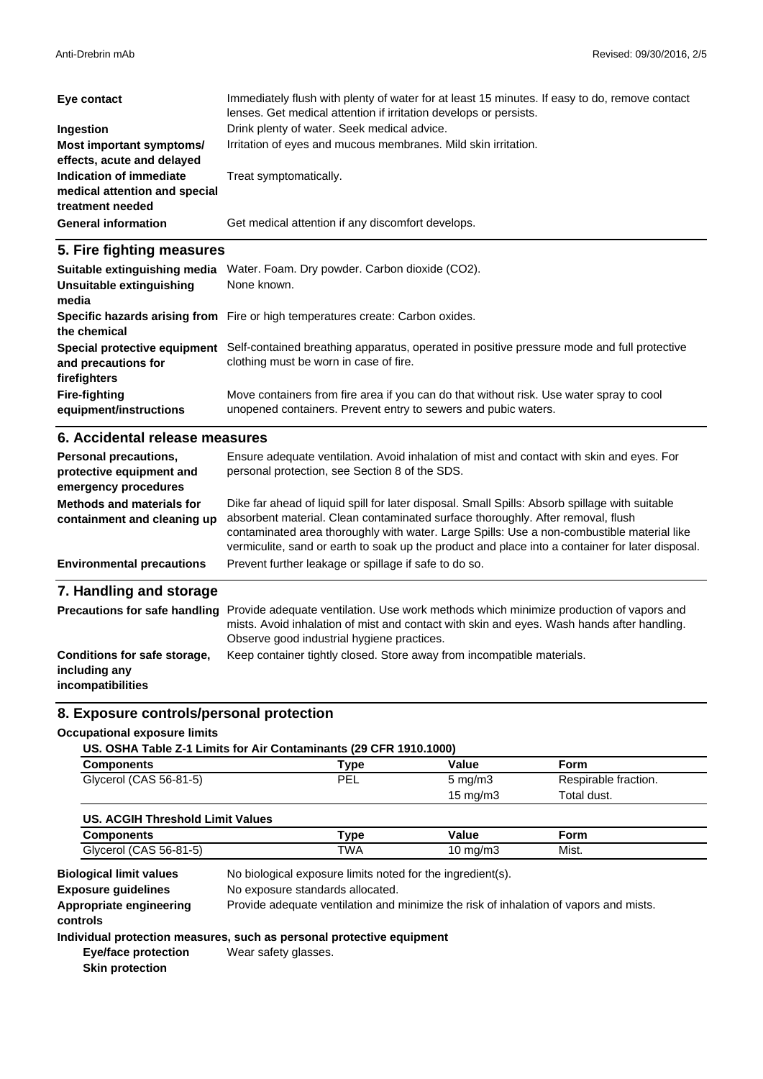| Eye contact                                                                  | Immediately flush with plenty of water for at least 15 minutes. If easy to do, remove contact<br>lenses. Get medical attention if irritation develops or persists. |
|------------------------------------------------------------------------------|--------------------------------------------------------------------------------------------------------------------------------------------------------------------|
| Ingestion                                                                    | Drink plenty of water. Seek medical advice.                                                                                                                        |
| Most important symptoms/<br>effects, acute and delayed                       | Irritation of eyes and mucous membranes. Mild skin irritation.                                                                                                     |
| Indication of immediate<br>medical attention and special<br>treatment needed | Treat symptomatically.                                                                                                                                             |
| <b>General information</b>                                                   | Get medical attention if any discomfort develops.                                                                                                                  |

### **5. Fire fighting measures**

| Suitable extinguishing media<br>Unsuitable extinguishing<br>media | Water. Foam. Dry powder. Carbon dioxide (CO2).<br>None known.                                                                                             |
|-------------------------------------------------------------------|-----------------------------------------------------------------------------------------------------------------------------------------------------------|
| the chemical                                                      | Specific hazards arising from Fire or high temperatures create: Carbon oxides.                                                                            |
| Special protective equipment<br>and precautions for               | Self-contained breathing apparatus, operated in positive pressure mode and full protective<br>clothing must be worn in case of fire.                      |
| firefighters                                                      |                                                                                                                                                           |
| <b>Fire-fighting</b><br>equipment/instructions                    | Move containers from fire area if you can do that without risk. Use water spray to cool<br>unopened containers. Prevent entry to sewers and pubic waters. |

### **6. Accidental release measures**

| Personal precautions,<br>protective equipment and<br>emergency procedures | Ensure adequate ventilation. Avoid inhalation of mist and contact with skin and eyes. For<br>personal protection, see Section 8 of the SDS.                                                                                                                                                                                                                                         |
|---------------------------------------------------------------------------|-------------------------------------------------------------------------------------------------------------------------------------------------------------------------------------------------------------------------------------------------------------------------------------------------------------------------------------------------------------------------------------|
| Methods and materials for<br>containment and cleaning up                  | Dike far ahead of liquid spill for later disposal. Small Spills: Absorb spillage with suitable<br>absorbent material. Clean contaminated surface thoroughly. After removal, flush<br>contaminated area thoroughly with water. Large Spills: Use a non-combustible material like<br>vermiculite, sand or earth to soak up the product and place into a container for later disposal. |
| <b>Environmental precautions</b>                                          | Prevent further leakage or spillage if safe to do so.                                                                                                                                                                                                                                                                                                                               |
| 7. Handling and storage                                                   |                                                                                                                                                                                                                                                                                                                                                                                     |
| Precautions for safe handling                                             | Provide adequate ventilation. Use work methods which minimize production of vapors and<br>mists. Avoid inhalation of mist and contact with skin and eyes. Wash hands after handling.<br>Observe good industrial hygiene practices.                                                                                                                                                  |

| Conditions for safe storage, | Keep container tightly closed. Store away from incompatible materials. |
|------------------------------|------------------------------------------------------------------------|
| including any                |                                                                        |

**incompatibilities**

### **8. Exposure controls/personal protection**

#### **Occupational exposure limits**

| US. OSHA Table Z-1 Limits for Air Contaminants (29 CFR 1910.1000) |             |                         |  |
|-------------------------------------------------------------------|-------------|-------------------------|--|
| Campananta                                                        | <b>Tyno</b> | $\overline{\mathbf{v}}$ |  |

| Components             | $^{\mathsf{T}}$ vpe | Value            | Form                 |  |
|------------------------|---------------------|------------------|----------------------|--|
| Glycerol (CAS 56-81-5) | PEL                 | $5 \text{ mg/m}$ | Respirable fraction. |  |
|                        |                     | 15 mg/m $3$      | Total dust.          |  |

| US. ACGIH Threshold Limit Values |      |          |       |  |
|----------------------------------|------|----------|-------|--|
| Components                       | Type | Value    | Form  |  |
| Glycerol (CAS 56-81-5)           | TWA  | 10 ma/m3 | Mist. |  |

**Appropriate engineering** Provide adequate ventilation and minimize the risk of inhalation of vapors and mists. **controls** No exposure standards allocated. **Exposure guidelines** No biological exposure limits noted for the ingredient(s). **Biological limit values**

### **Individual protection measures, such as personal protective equipment**

**Eye/face protection Skin protection**

Wear safety glasses.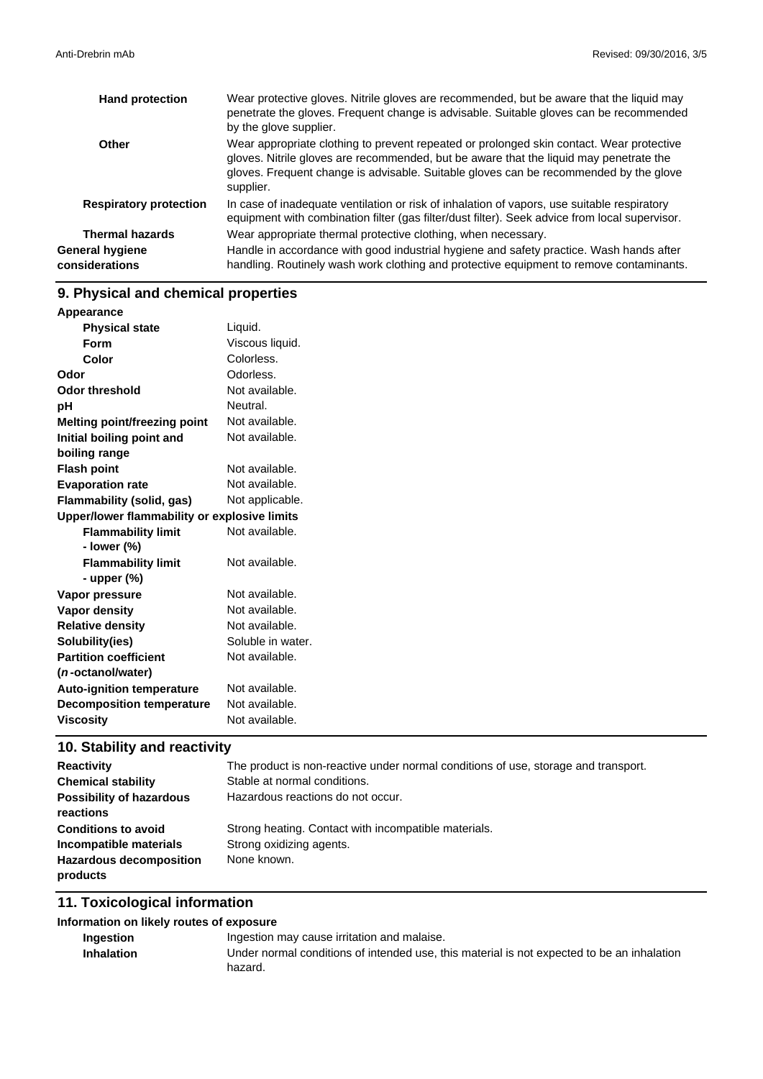| <b>Hand protection</b>            | Wear protective gloves. Nitrile gloves are recommended, but be aware that the liquid may<br>penetrate the gloves. Frequent change is advisable. Suitable gloves can be recommended<br>by the glove supplier.                                                                             |
|-----------------------------------|------------------------------------------------------------------------------------------------------------------------------------------------------------------------------------------------------------------------------------------------------------------------------------------|
| Other                             | Wear appropriate clothing to prevent repeated or prolonged skin contact. Wear protective<br>gloves. Nitrile gloves are recommended, but be aware that the liquid may penetrate the<br>gloves. Frequent change is advisable. Suitable gloves can be recommended by the glove<br>supplier. |
| <b>Respiratory protection</b>     | In case of inadequate ventilation or risk of inhalation of vapors, use suitable respiratory<br>equipment with combination filter (gas filter/dust filter). Seek advice from local supervisor.                                                                                            |
| <b>Thermal hazards</b>            | Wear appropriate thermal protective clothing, when necessary.                                                                                                                                                                                                                            |
| General hygiene<br>considerations | Handle in accordance with good industrial hygiene and safety practice. Wash hands after<br>handling. Routinely wash work clothing and protective equipment to remove contaminants.                                                                                                       |

# **9. Physical and chemical properties**

| Appearance                                   |                   |
|----------------------------------------------|-------------------|
| <b>Physical state</b>                        | Liquid.           |
| <b>Form</b>                                  | Viscous liquid.   |
| Color                                        | Colorless.        |
| Odor                                         | Odorless.         |
| <b>Odor threshold</b>                        | Not available.    |
| рH                                           | Neutral.          |
| <b>Melting point/freezing point</b>          | Not available.    |
| Initial boiling point and                    | Not available.    |
| boiling range                                |                   |
| <b>Flash point</b>                           | Not available.    |
| <b>Evaporation rate</b>                      | Not available.    |
| <b>Flammability (solid, gas)</b>             | Not applicable.   |
| Upper/lower flammability or explosive limits |                   |
| <b>Flammability limit</b>                    | Not available.    |
| - lower (%)                                  |                   |
| <b>Flammability limit</b>                    | Not available.    |
| - upper $(\%)$                               |                   |
| Vapor pressure                               | Not available.    |
| Vapor density                                | Not available.    |
| <b>Relative density</b>                      | Not available.    |
| Solubility(ies)                              | Soluble in water. |
| <b>Partition coefficient</b>                 | Not available.    |
| ( <i>n</i> -octanol/water)                   |                   |
| <b>Auto-ignition temperature</b>             | Not available.    |
| <b>Decomposition temperature</b>             | Not available.    |
| <b>Viscosity</b>                             | Not available.    |

# **10. Stability and reactivity**

| The product is non-reactive under normal conditions of use, storage and transport. |
|------------------------------------------------------------------------------------|
| Stable at normal conditions.                                                       |
| Hazardous reactions do not occur.                                                  |
|                                                                                    |
| Strong heating. Contact with incompatible materials.                               |
| Strong oxidizing agents.                                                           |
| None known.                                                                        |
|                                                                                    |
|                                                                                    |

## **11. Toxicological information**

### **Information on likely routes of exposure**

| Ingestion         | Ingestion may cause irritation and malaise.                                                |
|-------------------|--------------------------------------------------------------------------------------------|
| <b>Inhalation</b> | Under normal conditions of intended use, this material is not expected to be an inhalation |
|                   | hazard.                                                                                    |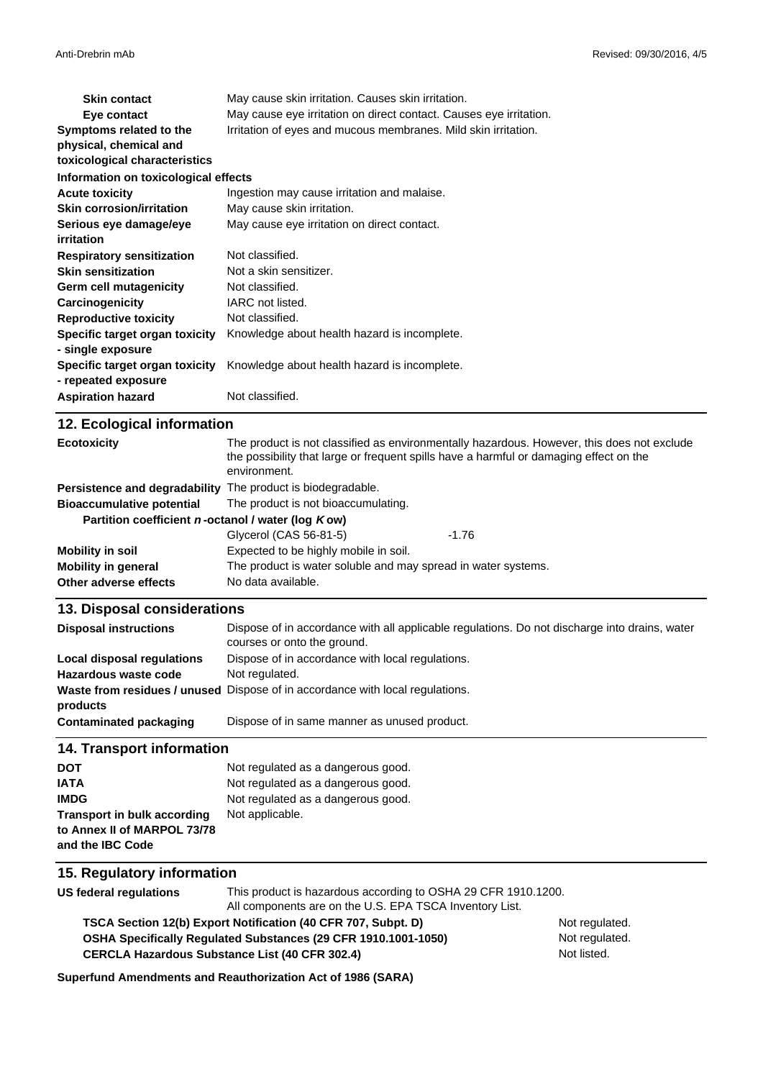| <b>Skin contact</b>                                   | May cause skin irritation. Causes skin irritation.                 |
|-------------------------------------------------------|--------------------------------------------------------------------|
| Eye contact                                           | May cause eye irritation on direct contact. Causes eye irritation. |
| Symptoms related to the                               | Irritation of eyes and mucous membranes. Mild skin irritation.     |
| physical, chemical and                                |                                                                    |
| toxicological characteristics                         |                                                                    |
| Information on toxicological effects                  |                                                                    |
| <b>Acute toxicity</b>                                 | Ingestion may cause irritation and malaise.                        |
| <b>Skin corrosion/irritation</b>                      | May cause skin irritation.                                         |
| Serious eye damage/eye                                | May cause eye irritation on direct contact.                        |
| irritation                                            |                                                                    |
| <b>Respiratory sensitization</b>                      | Not classified.                                                    |
| <b>Skin sensitization</b>                             | Not a skin sensitizer.                                             |
| Germ cell mutagenicity                                | Not classified.                                                    |
| Carcinogenicity                                       | IARC not listed.                                                   |
| <b>Reproductive toxicity</b>                          | Not classified.                                                    |
| Specific target organ toxicity                        | Knowledge about health hazard is incomplete.                       |
| - single exposure                                     |                                                                    |
| Specific target organ toxicity<br>- repeated exposure | Knowledge about health hazard is incomplete.                       |
| <b>Aspiration hazard</b>                              | Not classified.                                                    |

| 12. Ecological information                                  |                                                                                                                                                                                                      |         |
|-------------------------------------------------------------|------------------------------------------------------------------------------------------------------------------------------------------------------------------------------------------------------|---------|
| <b>Ecotoxicity</b>                                          | The product is not classified as environmentally hazardous. However, this does not exclude<br>the possibility that large or frequent spills have a harmful or damaging effect on the<br>environment. |         |
| Persistence and degradability The product is biodegradable. |                                                                                                                                                                                                      |         |
| <b>Bioaccumulative potential</b>                            | The product is not bioaccumulating.                                                                                                                                                                  |         |
| Partition coefficient n-octanol / water (log Kow)           |                                                                                                                                                                                                      |         |
|                                                             | Glycerol (CAS 56-81-5)                                                                                                                                                                               | $-1.76$ |
| Mobility in soil                                            | Expected to be highly mobile in soil.                                                                                                                                                                |         |
| <b>Mobility in general</b>                                  | The product is water soluble and may spread in water systems.                                                                                                                                        |         |
| Other adverse effects                                       | No data available.                                                                                                                                                                                   |         |

#### **13. Disposal considerations**

| <b>Disposal instructions</b> | Dispose of in accordance with all applicable regulations. Do not discharge into drains, water<br>courses or onto the ground. |
|------------------------------|------------------------------------------------------------------------------------------------------------------------------|
| Local disposal regulations   | Dispose of in accordance with local regulations.                                                                             |
| Hazardous waste code         | Not regulated.                                                                                                               |
| products                     | <b>Waste from residues / unused</b> Dispose of in accordance with local regulations.                                         |
| Contaminated packaging       | Dispose of in same manner as unused product.                                                                                 |

#### **14. Transport information**

| <b>DOT</b>                         | Not regulated as a dangerous good. |
|------------------------------------|------------------------------------|
| <b>IATA</b>                        | Not regulated as a dangerous good. |
| <b>IMDG</b>                        | Not regulated as a dangerous good. |
| <b>Transport in bulk according</b> | Not applicable.                    |
| to Annex II of MARPOL 73/78        |                                    |
| and the IBC Code                   |                                    |

### **15. Regulatory information**

**US federal regulations** This product is hazardous according to OSHA 29 CFR 1910.1200. All components are on the U.S. EPA TSCA Inventory List.

**CERCLA Hazardous Substance List (40 CFR 302.4) OSHA Specifically Regulated Substances (29 CFR 1910.1001-1050) TSCA Section 12(b) Export Notification (40 CFR 707, Subpt. D)** Not regulated.

Not regulated. Not listed.

**Superfund Amendments and Reauthorization Act of 1986 (SARA)**